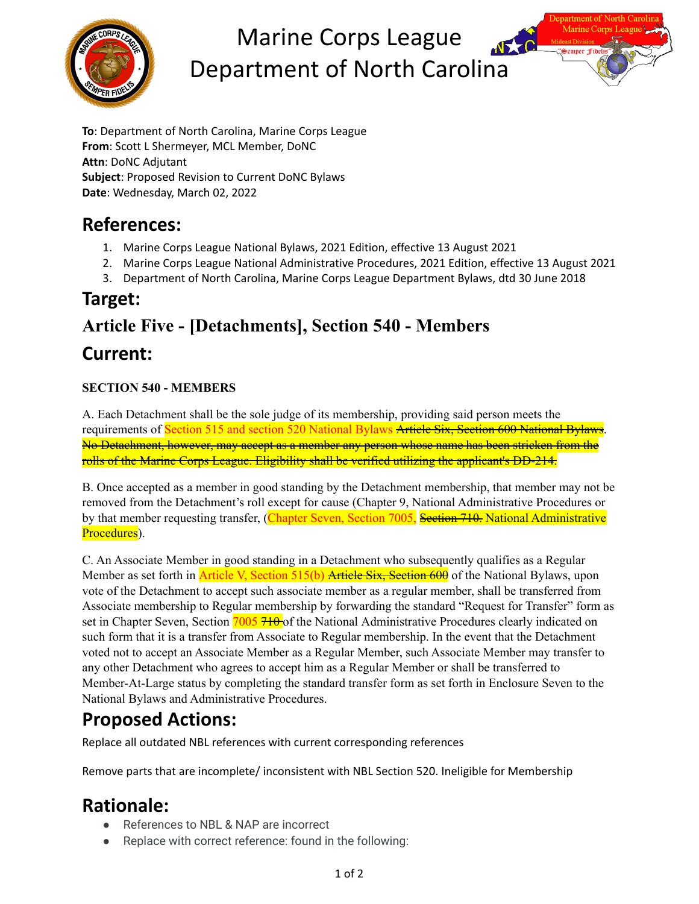

# Marine Corps League Department of North Carolina



# **References:**

- 1. Marine Corps League National Bylaws, 2021 Edition, effective 13 August 2021
- 2. Marine Corps League National Administrative Procedures, 2021 Edition, effective 13 August 2021
- 3. Department of North Carolina, Marine Corps League Department Bylaws, dtd 30 June 2018

### **Target:**

# **Article Five - [Detachments], Section 540 - Members Current:**

#### **SECTION 540 - MEMBERS**

A. Each Detachment shall be the sole judge of its membership, providing said person meets the requirements of Section 515 and section 520 National Bylaws Article Six, Section 600 National Bylaws. No Detachment, however, may accept as a member any person whose name has been stricken from the rolls of the Marine Corps League. Eligibility shall be verified utilizing the applicant's DD-214.

B. Once accepted as a member in good standing by the Detachment membership, that member may not be removed from the Detachment's roll except for cause (Chapter 9, National Administrative Procedures or by that member requesting transfer, (Chapter Seven, Section 7005, Section 710. National Administrative Procedures).

C. An Associate Member in good standing in a Detachment who subsequently qualifies as a Regular Member as set forth in **Article V**, Section 515(b) Article Six, Section 600 of the National Bylaws, upon vote of the Detachment to accept such associate member as a regular member, shall be transferred from Associate membership to Regular membership by forwarding the standard "Request for Transfer" form as set in Chapter Seven, Section 7005 710 of the National Administrative Procedures clearly indicated on such form that it is a transfer from Associate to Regular membership. In the event that the Detachment voted not to accept an Associate Member as a Regular Member, such Associate Member may transfer to any other Detachment who agrees to accept him as a Regular Member or shall be transferred to Member-At-Large status by completing the standard transfer form as set forth in Enclosure Seven to the National Bylaws and Administrative Procedures.

# **Proposed Actions:**

Replace all outdated NBL references with current corresponding references

Remove parts that are incomplete/ inconsistent with NBL Section 520. Ineligible for Membership

## **Rationale:**

- References to NBL & NAP are incorrect
- Replace with correct reference: found in the following: